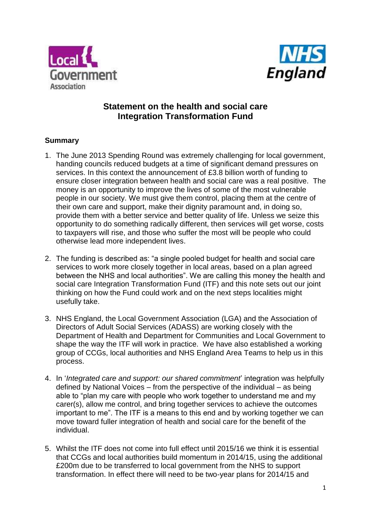



# **Statement on the health and social care Integration Transformation Fund**

# **Summary**

- 1. The June 2013 Spending Round was extremely challenging for local government, handing councils reduced budgets at a time of significant demand pressures on services. In this context the announcement of £3.8 billion worth of funding to ensure closer integration between health and social care was a real positive. The money is an opportunity to improve the lives of some of the most vulnerable people in our society. We must give them control, placing them at the centre of their own care and support, make their dignity paramount and, in doing so, provide them with a better service and better quality of life. Unless we seize this opportunity to do something radically different, then services will get worse, costs to taxpayers will rise, and those who suffer the most will be people who could otherwise lead more independent lives.
- 2. The funding is described as: "a single pooled budget for health and social care services to work more closely together in local areas, based on a plan agreed between the NHS and local authorities". We are calling this money the health and social care Integration Transformation Fund (ITF) and this note sets out our joint thinking on how the Fund could work and on the next steps localities might usefully take.
- 3. NHS England, the Local Government Association (LGA) and the Association of Directors of Adult Social Services (ADASS) are working closely with the Department of Health and Department for Communities and Local Government to shape the way the ITF will work in practice. We have also established a working group of CCGs, local authorities and NHS England Area Teams to help us in this process.
- 4. In '*Integrated care and support: our shared commitment*' integration was helpfully defined by National Voices – from the perspective of the individual – as being able to "plan my care with people who work together to understand me and my carer(s), allow me control, and bring together services to achieve the outcomes important to me". The ITF is a means to this end and by working together we can move toward fuller integration of health and social care for the benefit of the individual.
- 5. Whilst the ITF does not come into full effect until 2015/16 we think it is essential that CCGs and local authorities build momentum in 2014/15, using the additional £200m due to be transferred to local government from the NHS to support transformation. In effect there will need to be two-year plans for 2014/15 and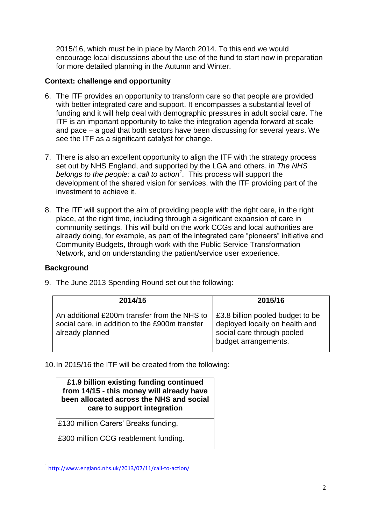2015/16, which must be in place by March 2014. To this end we would encourage local discussions about the use of the fund to start now in preparation for more detailed planning in the Autumn and Winter.

# **Context: challenge and opportunity**

- 6. The ITF provides an opportunity to transform care so that people are provided with better integrated care and support. It encompasses a substantial level of funding and it will help deal with demographic pressures in adult social care. The ITF is an important opportunity to take the integration agenda forward at scale and pace – a goal that both sectors have been discussing for several years. We see the ITF as a significant catalyst for change.
- 7. There is also an excellent opportunity to align the ITF with the strategy process set out by NHS England, and supported by the LGA and others, in *The NHS belongs to the people: a call to action<sup>1</sup> .* This process will support the development of the shared vision for services, with the ITF providing part of the investment to achieve it.
- 8. The ITF will support the aim of providing people with the right care, in the right place, at the right time, including through a significant expansion of care in community settings. This will build on the work CCGs and local authorities are already doing, for example, as part of the integrated care "pioneers" initiative and Community Budgets, through work with the Public Service Transformation Network, and on understanding the patient/service user experience.

# **Background**

| 2014/15                                                                                                           | 2015/16                                                                                                                  |  |
|-------------------------------------------------------------------------------------------------------------------|--------------------------------------------------------------------------------------------------------------------------|--|
| An additional £200m transfer from the NHS to<br>social care, in addition to the £900m transfer<br>already planned | £3.8 billion pooled budget to be<br>deployed locally on health and<br>social care through pooled<br>budget arrangements. |  |

9. The June 2013 Spending Round set out the following:

10.In 2015/16 the ITF will be created from the following:

#### **£1.9 billion existing funding continued from 14/15 - this money will already have been allocated across the NHS and social care to support integration**

£130 million Carers' Breaks funding.

£300 million CCG reablement funding.

nder<br>1 <http://www.england.nhs.uk/2013/07/11/call-to-action/>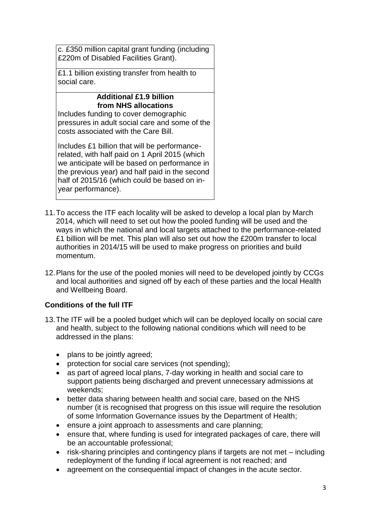c. £350 million capital grant funding (including £220m of Disabled Facilities Grant).

£1.1 billion existing transfer from health to social care.

# **Additional £1.9 billion from NHS allocations**

Includes funding to cover demographic pressures in adult social care and some of the costs associated with the Care Bill.

Includes £1 billion that will be performancerelated, with half paid on 1 April 2015 (which we anticipate will be based on performance in the previous year) and half paid in the second half of 2015/16 (which could be based on inyear performance).

- 11.To access the ITF each locality will be asked to develop a local plan by March 2014, which will need to set out how the pooled funding will be used and the ways in which the national and local targets attached to the performance-related £1 billion will be met. This plan will also set out how the £200m transfer to local authorities in 2014/15 will be used to make progress on priorities and build momentum.
- 12.Plans for the use of the pooled monies will need to be developed jointly by CCGs and local authorities and signed off by each of these parties and the local Health and Wellbeing Board.

# **Conditions of the full ITF**

- 13.The ITF will be a pooled budget which will can be deployed locally on social care and health, subject to the following national conditions which will need to be addressed in the plans:
	- plans to be jointly agreed;
	- protection for social care services (not spending);
	- as part of agreed local plans, 7-day working in health and social care to support patients being discharged and prevent unnecessary admissions at weekends;
	- better data sharing between health and social care, based on the NHS number (it is recognised that progress on this issue will require the resolution of some Information Governance issues by the Department of Health;
	- ensure a joint approach to assessments and care planning;
	- ensure that, where funding is used for integrated packages of care, there will be an accountable professional;
	- risk-sharing principles and contingency plans if targets are not met including redeployment of the funding if local agreement is not reached; and
	- agreement on the consequential impact of changes in the acute sector.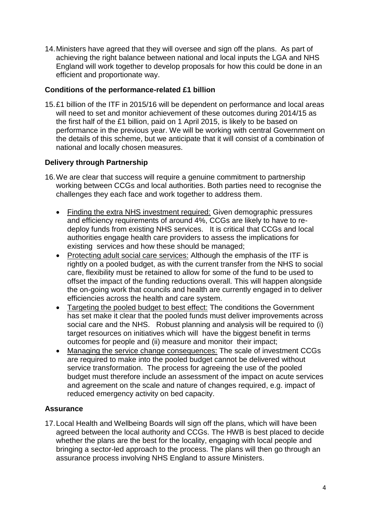14.Ministers have agreed that they will oversee and sign off the plans. As part of achieving the right balance between national and local inputs the LGA and NHS England will work together to develop proposals for how this could be done in an efficient and proportionate way.

### **Conditions of the performance-related £1 billion**

15.£1 billion of the ITF in 2015/16 will be dependent on performance and local areas will need to set and monitor achievement of these outcomes during 2014/15 as the first half of the £1 billion, paid on 1 April 2015, is likely to be based on performance in the previous year. We will be working with central Government on the details of this scheme, but we anticipate that it will consist of a combination of national and locally chosen measures.

# **Delivery through Partnership**

- 16.We are clear that success will require a genuine commitment to partnership working between CCGs and local authorities. Both parties need to recognise the challenges they each face and work together to address them.
	- Finding the extra NHS investment required: Given demographic pressures and efficiency requirements of around 4%, CCGs are likely to have to redeploy funds from existing NHS services. It is critical that CCGs and local authorities engage health care providers to assess the implications for existing services and how these should be managed;
	- Protecting adult social care services: Although the emphasis of the ITF is rightly on a pooled budget, as with the current transfer from the NHS to social care, flexibility must be retained to allow for some of the fund to be used to offset the impact of the funding reductions overall. This will happen alongside the on-going work that councils and health are currently engaged in to deliver efficiencies across the health and care system.
	- Targeting the pooled budget to best effect: The conditions the Government has set make it clear that the pooled funds must deliver improvements across social care and the NHS. Robust planning and analysis will be required to (i) target resources on initiatives which will have the biggest benefit in terms outcomes for people and (ii) measure and monitor their impact;
	- Managing the service change consequences: The scale of investment CCGs are required to make into the pooled budget cannot be delivered without service transformation. The process for agreeing the use of the pooled budget must therefore include an assessment of the impact on acute services and agreement on the scale and nature of changes required, e.g. impact of reduced emergency activity on bed capacity.

# **Assurance**

17.Local Health and Wellbeing Boards will sign off the plans, which will have been agreed between the local authority and CCGs. The HWB is best placed to decide whether the plans are the best for the locality, engaging with local people and bringing a sector-led approach to the process. The plans will then go through an assurance process involving NHS England to assure Ministers.